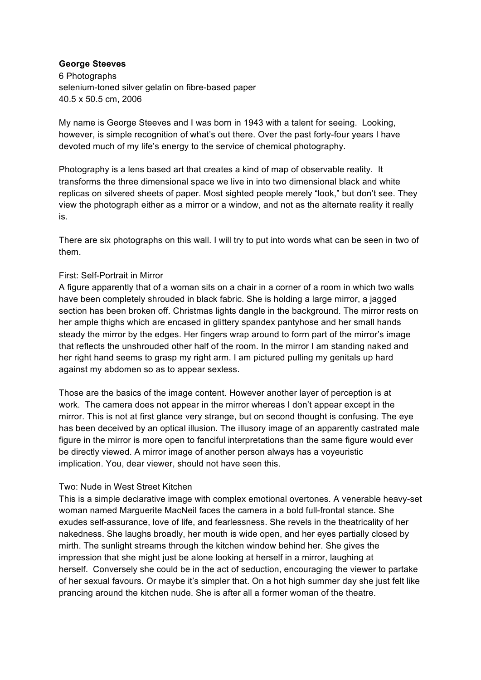## **George Steeves**

 40.5 x 50.5 cm, 2006 6 Photographs selenium-toned silver gelatin on fibre-based paper

 My name is George Steeves and I was born in 1943 with a talent for seeing. Looking, however, is simple recognition of what's out there. Over the past forty-four years I have devoted much of my life's energy to the service of chemical photography.

 Photography is a lens based art that creates a kind of map of observable reality. It replicas on silvered sheets of paper. Most sighted people merely "look," but don't see. They view the photograph either as a mirror or a window, and not as the alternate reality it really transforms the three dimensional space we live in into two dimensional black and white is.

 There are six photographs on this wall. I will try to put into words what can be seen in two of them.

## First: Self-Portrait in Mirror

 have been completely shrouded in black fabric. She is holding a large mirror, a jagged section has been broken off. Christmas lights dangle in the background. The mirror rests on her ample thighs which are encased in glittery spandex pantyhose and her small hands steady the mirror by the edges. Her fingers wrap around to form part of the mirror's image her right hand seems to grasp my right arm. I am pictured pulling my genitals up hard against my abdomen so as to appear sexless. A figure apparently that of a woman sits on a chair in a corner of a room in which two walls that reflects the unshrouded other half of the room. In the mirror I am standing naked and

 Those are the basics of the image content. However another layer of perception is at work. The camera does not appear in the mirror whereas I don't appear except in the mirror. This is not at first glance very strange, but on second thought is confusing. The eye has been deceived by an optical illusion. The illusory image of an apparently castrated male be directly viewed. A mirror image of another person always has a voyeuristic implication. You, dear viewer, should not have seen this. figure in the mirror is more open to fanciful interpretations than the same figure would ever

## Two: Nude in West Street Kitchen

 This is a simple declarative image with complex emotional overtones. A venerable heavy-set woman named Marguerite MacNeil faces the camera in a bold full-frontal stance. She exudes self-assurance, love of life, and fearlessness. She revels in the theatricality of her nakedness. She laughs broadly, her mouth is wide open, and her eyes partially closed by mirth. The sunlight streams through the kitchen window behind her. She gives the impression that she might just be alone looking at herself in a mirror, laughing at herself. Conversely she could be in the act of seduction, encouraging the viewer to partake of her sexual favours. Or maybe it's simpler that. On a hot high summer day she just felt like prancing around the kitchen nude. She is after all a former woman of the theatre.